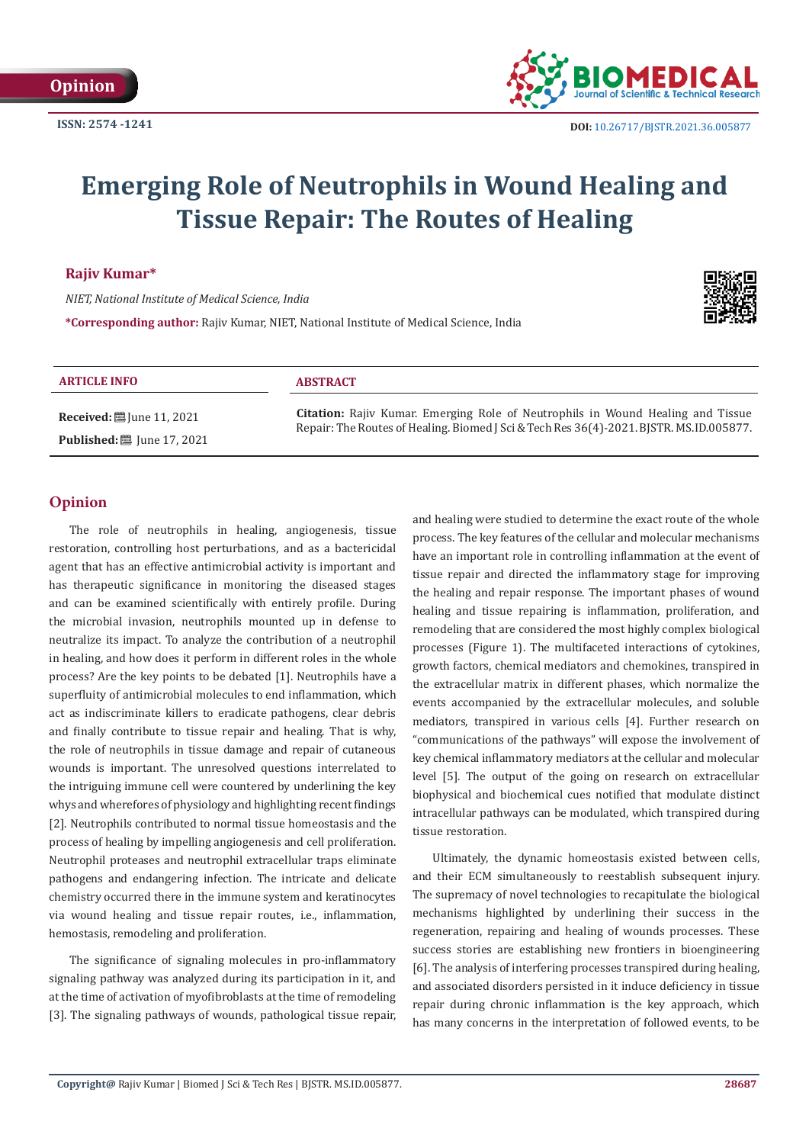

# **Emerging Role of Neutrophils in Wound Healing and Tissue Repair: The Routes of Healing**

**Rajiv Kumar\***

*NIET, National Institute of Medical Science, India*

**\*Corresponding author:** Rajiv Kumar, NIET, National Institute of Medical Science, India



#### **ARTICLE INFO ABSTRACT**

**Received:** ■ June 11, 2021 **Published:** ■ June 17, 2021

**Citation:** Rajiv Kumar. Emerging Role of Neutrophils in Wound Healing and Tissue Repair: The Routes of Healing. Biomed J Sci & Tech Res 36(4)-2021. BJSTR. MS.ID.005877.

# **Opinion**

The role of neutrophils in healing, angiogenesis, tissue restoration, controlling host perturbations, and as a bactericidal agent that has an effective antimicrobial activity is important and has therapeutic significance in monitoring the diseased stages and can be examined scientifically with entirely profile. During the microbial invasion, neutrophils mounted up in defense to neutralize its impact. To analyze the contribution of a neutrophil in healing, and how does it perform in different roles in the whole process? Are the key points to be debated [1]. Neutrophils have a superfluity of antimicrobial molecules to end inflammation, which act as indiscriminate killers to eradicate pathogens, clear debris and finally contribute to tissue repair and healing. That is why, the role of neutrophils in tissue damage and repair of cutaneous wounds is important. The unresolved questions interrelated to the intriguing immune cell were countered by underlining the key whys and wherefores of physiology and highlighting recent findings [2]. Neutrophils contributed to normal tissue homeostasis and the process of healing by impelling angiogenesis and cell proliferation. Neutrophil proteases and neutrophil extracellular traps eliminate pathogens and endangering infection. The intricate and delicate chemistry occurred there in the immune system and keratinocytes via wound healing and tissue repair routes, i.e., inflammation, hemostasis, remodeling and proliferation.

The significance of signaling molecules in pro-inflammatory signaling pathway was analyzed during its participation in it, and at the time of activation of myofibroblasts at the time of remodeling [3]. The signaling pathways of wounds, pathological tissue repair, and healing were studied to determine the exact route of the whole process. The key features of the cellular and molecular mechanisms have an important role in controlling inflammation at the event of tissue repair and directed the inflammatory stage for improving the healing and repair response. The important phases of wound healing and tissue repairing is inflammation, proliferation, and remodeling that are considered the most highly complex biological processes (Figure 1). The multifaceted interactions of cytokines, growth factors, chemical mediators and chemokines, transpired in the extracellular matrix in different phases, which normalize the events accompanied by the extracellular molecules, and soluble mediators, transpired in various cells [4]. Further research on "communications of the pathways" will expose the involvement of key chemical inflammatory mediators at the cellular and molecular level [5]. The output of the going on research on extracellular biophysical and biochemical cues notified that modulate distinct intracellular pathways can be modulated, which transpired during tissue restoration.

Ultimately, the dynamic homeostasis existed between cells, and their ECM simultaneously to reestablish subsequent injury. The supremacy of novel technologies to recapitulate the biological mechanisms highlighted by underlining their success in the regeneration, repairing and healing of wounds processes. These success stories are establishing new frontiers in bioengineering [6]. The analysis of interfering processes transpired during healing, and associated disorders persisted in it induce deficiency in tissue repair during chronic inflammation is the key approach, which has many concerns in the interpretation of followed events, to be